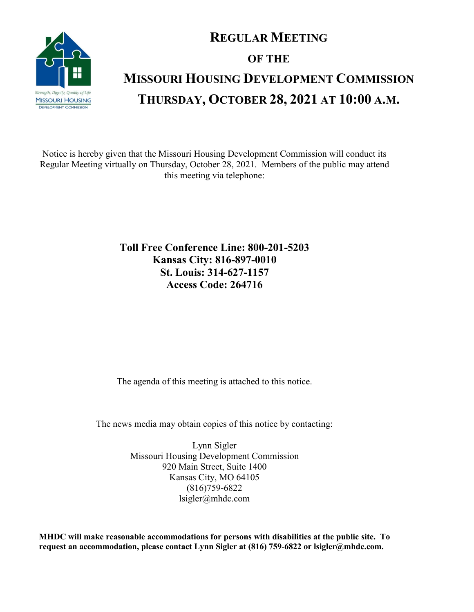

# **REGULAR MEETING OF THE MISSOURI HOUSING DEVELOPMENT COMMISSION THURSDAY, OCTOBER 28, 2021 AT 10:00 A.M.**

Notice is hereby given that the Missouri Housing Development Commission will conduct its Regular Meeting virtually on Thursday, October 28, 2021. Members of the public may attend this meeting via telephone:

> **Toll Free Conference Line: 800-201-5203 Kansas City: 816-897-0010 St. Louis: 314-627-1157 Access Code: 264716**

The agenda of this meeting is attached to this notice.

The news media may obtain copies of this notice by contacting:

Lynn Sigler Missouri Housing Development Commission 920 Main Street, Suite 1400 Kansas City, MO 64105 (816)759-6822 lsigler@mhdc.com

**MHDC will make reasonable accommodations for persons with disabilities at the public site. To request an accommodation, please contact Lynn Sigler at (816) 759-6822 or lsigler@mhdc.com.**